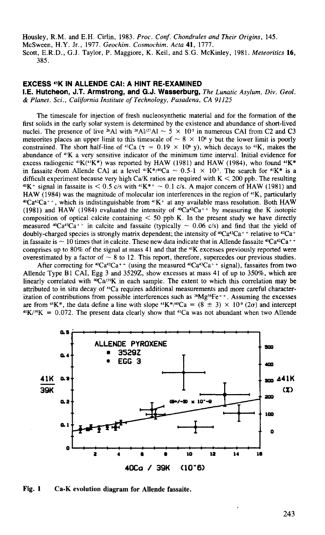Housley, R.M. and E.H. Cirlin, 1983. *Proc. Conf. Chondrules and Their Origins,* 145. McSween, H.Y. Jr., 1977. *Geochim. Cosmochim. Acta* **41,** 1777. Scott, E.R.D., G.J. Taylor, P. Maggiore, K. Keil, and S.G. McKinley, 1981. *Meteoritics* **16,**  385.

## **EXCESS 41K IN ALLENDE CAl: A HINT RE-EXAMINED**

**I.E. Hutcheon, J.T. Armstrong, and G.J. Wasserburg,** *The Lunatic Asylum, Div. Geol.*  & *Planet. Sci., California Institute of Technology, Pasadena, CA 91I25* 

The timescale for injection of fresh nucleosynthetic material and for the formation of the first solids in the early solar system is determined by the existence and abundance of short-lived nuclei. The presence of live <sup>26</sup>Al with <sup>26</sup>Al/<sup>27</sup>Al  $\sim$  5  $\times$  10<sup>-5</sup> in numerous CAI from C2 and C3 meteorites places an upper limit to this timescale of  $\sim 8 \times 10^6$  y but the lower limit is poorly constrained. The short half-line of  ${}^{41}Ca$  ( $\tau = 0.19 \times 10^6$  y), which decays to  ${}^{41}K$ , makes the abundance of 41K a very sensitive indicator of the minimum time interval. Initial evidence for excess radiogenic  $41K(41K^*)$  was reported by HAW (1981) and HAW (1984), who found  $41K^*$ in fassaite from Allende CAI at a level  $^{41}K^{*/40}Ca \sim 0.5\text{-}1 \times 10^{7}$ . The search for  $^{41}K^{*}$  is a difficult experiment because very high Ca/K ratios are required with K < 200 ppb. The resulting  $4!K^+$  signal in fassaite is < 0.5 c/s with  $4!K^{++} \sim 0.1$  c/s. A major concern of HAW (1981) and HAW (1984) was the magnitu  $^{40}Ca^{42}Ca + +$ , which is indistinguishable from  $^{41}K^+$  at any available mass resolution. Both HAW (1981) and HAW (1984) evaluated the intensity of  $^{40}Ca^{42}Ca^{++}$  by measuring the K isotopic composition of optical calcite containing  $<$  50 ppb K. In the present study we have directly measured  $^{40}Ca^{43}Ca^{++}$  in calcite and fassaite (typically  $\sim 0.06$  c/s) and find that the yield of doubly-charged species is strongly matrix dependent; the intensity of  $Ca^4Ca^+$  relative to  $Ca^+$ in fassaite is  $\sim 10$  times that in calcite. These new data indicate that in Allende fassaite  $^{40}Ca^{42}Ca^{++}$ comprises up to 80% of the signal at mass 41 and that the 41K excesses previously reported were overestimated by a factor of  $\sim 8$  to 12. This report, therefore, supercedes our previous studies.

After correcting for  $^{40}Ca^{42}Ca^{+}$  (using the measured  $^{40}Ca^{43}Ca^{+}$  + signal), fassaites from two Allende Type Bl CAl, Egg 3 and 3529Z, show excesses at mass 41 of up to 350%, which are linearly correlated with  $^{40}Ca^{39}K$  in each sample. The extent to which this correlation may be attributed to in situ decay of 41Ca requires additional measurements and more careful characterization of contributions from possible interferences such as <sup>26</sup>Mg<sup>56</sup>Fe<sup>++</sup>. Assuming the excesses are from <sup>41</sup>K\*, the data define a line with slope <sup>41</sup>K\*/<sup>40</sup>Ca = (8 ± 3) × 10<sup>-9</sup> (2 $\sigma$ ) and intercept <sup>41</sup>K/<sup>39</sup>K = 0.072. The present data clearly show that <sup>41</sup>Ca was not abundant when two Allende



Fig. **1** Ca-K evolution diagram for Allende fassaite.